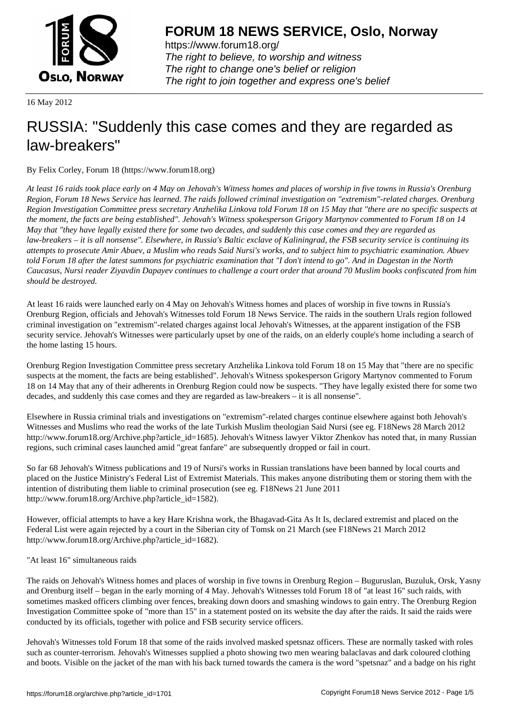

https://www.forum18.org/ The right to believe, to worship and witness The right to change one's belief or religion [The right to join together a](https://www.forum18.org/)nd express one's belief

16 May 2012

# [RUSSIA: "Sudd](https://www.forum18.org)enly this case comes and they are regarded as law-breakers"

By Felix Corley, Forum 18 (https://www.forum18.org)

*At least 16 raids took place early on 4 May on Jehovah's Witness homes and places of worship in five towns in Russia's Orenburg Region, Forum 18 News Service has learned. The raids followed criminal investigation on "extremism"-related charges. Orenburg Region Investigation Committee press secretary Anzhelika Linkova told Forum 18 on 15 May that "there are no specific suspects at the moment, the facts are being established". Jehovah's Witness spokesperson Grigory Martynov commented to Forum 18 on 14 May that "they have legally existed there for some two decades, and suddenly this case comes and they are regarded as law-breakers – it is all nonsense". Elsewhere, in Russia's Baltic exclave of Kaliningrad, the FSB security service is continuing its attempts to prosecute Amir Abuev, a Muslim who reads Said Nursi's works, and to subject him to psychiatric examination. Abuev told Forum 18 after the latest summons for psychiatric examination that "I don't intend to go". And in Dagestan in the North Caucasus, Nursi reader Ziyavdin Dapayev continues to challenge a court order that around 70 Muslim books confiscated from him should be destroyed.*

At least 16 raids were launched early on 4 May on Jehovah's Witness homes and places of worship in five towns in Russia's Orenburg Region, officials and Jehovah's Witnesses told Forum 18 News Service. The raids in the southern Urals region followed criminal investigation on "extremism"-related charges against local Jehovah's Witnesses, at the apparent instigation of the FSB security service. Jehovah's Witnesses were particularly upset by one of the raids, on an elderly couple's home including a search of the home lasting 15 hours.

Orenburg Region Investigation Committee press secretary Anzhelika Linkova told Forum 18 on 15 May that "there are no specific suspects at the moment, the facts are being established". Jehovah's Witness spokesperson Grigory Martynov commented to Forum 18 on 14 May that any of their adherents in Orenburg Region could now be suspects. "They have legally existed there for some two decades, and suddenly this case comes and they are regarded as law-breakers – it is all nonsense".

Elsewhere in Russia criminal trials and investigations on "extremism"-related charges continue elsewhere against both Jehovah's Witnesses and Muslims who read the works of the late Turkish Muslim theologian Said Nursi (see eg. F18News 28 March 2012 http://www.forum18.org/Archive.php?article\_id=1685). Jehovah's Witness lawyer Viktor Zhenkov has noted that, in many Russian regions, such criminal cases launched amid "great fanfare" are subsequently dropped or fail in court.

So far 68 Jehovah's Witness publications and 19 of Nursi's works in Russian translations have been banned by local courts and placed on the Justice Ministry's Federal List of Extremist Materials. This makes anyone distributing them or storing them with the intention of distributing them liable to criminal prosecution (see eg. F18News 21 June 2011 http://www.forum18.org/Archive.php?article\_id=1582).

However, official attempts to have a key Hare Krishna work, the Bhagavad-Gita As It Is, declared extremist and placed on the Federal List were again rejected by a court in the Siberian city of Tomsk on 21 March (see F18News 21 March 2012 http://www.forum18.org/Archive.php?article\_id=1682).

"At least 16" simultaneous raids

The raids on Jehovah's Witness homes and places of worship in five towns in Orenburg Region – Buguruslan, Buzuluk, Orsk, Yasny and Orenburg itself – began in the early morning of 4 May. Jehovah's Witnesses told Forum 18 of "at least 16" such raids, with sometimes masked officers climbing over fences, breaking down doors and smashing windows to gain entry. The Orenburg Region Investigation Committee spoke of "more than 15" in a statement posted on its website the day after the raids. It said the raids were conducted by its officials, together with police and FSB security service officers.

Jehovah's Witnesses told Forum 18 that some of the raids involved masked spetsnaz officers. These are normally tasked with roles such as counter-terrorism. Jehovah's Witnesses supplied a photo showing two men wearing balaclavas and dark coloured clothing and boots. Visible on the jacket of the man with his back turned towards the camera is the word "spetsnaz" and a badge on his right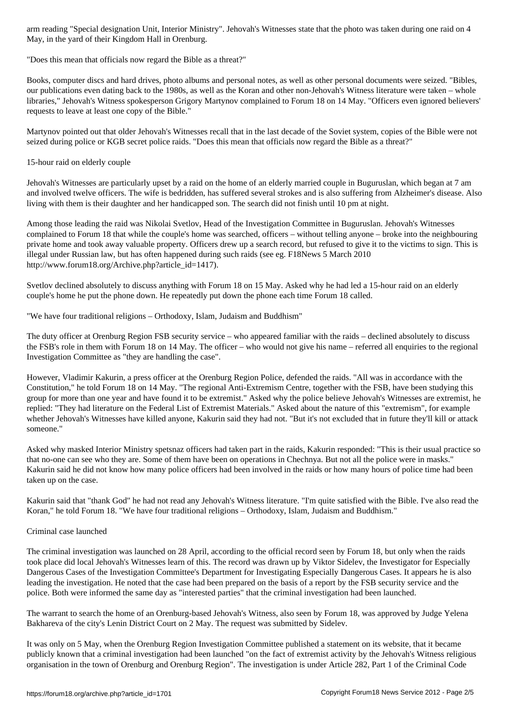May, in the yard of their Kingdom Hall in Orenburg.

"Does this mean that officials now regard the Bible as a threat?"

Books, computer discs and hard drives, photo albums and personal notes, as well as other personal documents were seized. "Bibles, our publications even dating back to the 1980s, as well as the Koran and other non-Jehovah's Witness literature were taken – whole libraries," Jehovah's Witness spokesperson Grigory Martynov complained to Forum 18 on 14 May. "Officers even ignored believers' requests to leave at least one copy of the Bible."

Martynov pointed out that older Jehovah's Witnesses recall that in the last decade of the Soviet system, copies of the Bible were not seized during police or KGB secret police raids. "Does this mean that officials now regard the Bible as a threat?"

15-hour raid on elderly couple

Jehovah's Witnesses are particularly upset by a raid on the home of an elderly married couple in Buguruslan, which began at 7 am and involved twelve officers. The wife is bedridden, has suffered several strokes and is also suffering from Alzheimer's disease. Also living with them is their daughter and her handicapped son. The search did not finish until 10 pm at night.

Among those leading the raid was Nikolai Svetlov, Head of the Investigation Committee in Buguruslan. Jehovah's Witnesses complained to Forum 18 that while the couple's home was searched, officers – without telling anyone – broke into the neighbouring private home and took away valuable property. Officers drew up a search record, but refused to give it to the victims to sign. This is illegal under Russian law, but has often happened during such raids (see eg. F18News 5 March 2010 http://www.forum18.org/Archive.php?article\_id=1417).

Svetlov declined absolutely to discuss anything with Forum 18 on 15 May. Asked why he had led a 15-hour raid on an elderly couple's home he put the phone down. He repeatedly put down the phone each time Forum 18 called.

"We have four traditional religions – Orthodoxy, Islam, Judaism and Buddhism"

The duty officer at Orenburg Region FSB security service – who appeared familiar with the raids – declined absolutely to discuss the FSB's role in them with Forum 18 on 14 May. The officer – who would not give his name – referred all enquiries to the regional Investigation Committee as "they are handling the case".

However, Vladimir Kakurin, a press officer at the Orenburg Region Police, defended the raids. "All was in accordance with the Constitution," he told Forum 18 on 14 May. "The regional Anti-Extremism Centre, together with the FSB, have been studying this group for more than one year and have found it to be extremist." Asked why the police believe Jehovah's Witnesses are extremist, he replied: "They had literature on the Federal List of Extremist Materials." Asked about the nature of this "extremism", for example whether Jehovah's Witnesses have killed anyone, Kakurin said they had not. "But it's not excluded that in future they'll kill or attack someone."

Asked why masked Interior Ministry spetsnaz officers had taken part in the raids, Kakurin responded: "This is their usual practice so that no-one can see who they are. Some of them have been on operations in Chechnya. But not all the police were in masks." Kakurin said he did not know how many police officers had been involved in the raids or how many hours of police time had been taken up on the case.

Kakurin said that "thank God" he had not read any Jehovah's Witness literature. "I'm quite satisfied with the Bible. I've also read the Koran," he told Forum 18. "We have four traditional religions – Orthodoxy, Islam, Judaism and Buddhism."

# Criminal case launched

The criminal investigation was launched on 28 April, according to the official record seen by Forum 18, but only when the raids took place did local Jehovah's Witnesses learn of this. The record was drawn up by Viktor Sidelev, the Investigator for Especially Dangerous Cases of the Investigation Committee's Department for Investigating Especially Dangerous Cases. It appears he is also leading the investigation. He noted that the case had been prepared on the basis of a report by the FSB security service and the police. Both were informed the same day as "interested parties" that the criminal investigation had been launched.

The warrant to search the home of an Orenburg-based Jehovah's Witness, also seen by Forum 18, was approved by Judge Yelena Bakhareva of the city's Lenin District Court on 2 May. The request was submitted by Sidelev.

It was only on 5 May, when the Orenburg Region Investigation Committee published a statement on its website, that it became publicly known that a criminal investigation had been launched "on the fact of extremist activity by the Jehovah's Witness religious organisation in the town of Orenburg and Orenburg Region". The investigation is under Article 282, Part 1 of the Criminal Code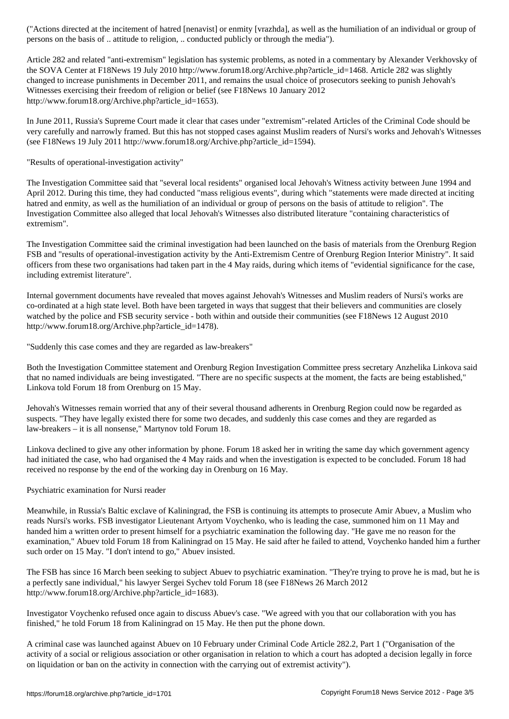persons on the basis of .. attitude to religion, .. conducted publicly or through the media").

Article 282 and related "anti-extremism" legislation has systemic problems, as noted in a commentary by Alexander Verkhovsky of the SOVA Center at F18News 19 July 2010 http://www.forum18.org/Archive.php?article\_id=1468. Article 282 was slightly changed to increase punishments in December 2011, and remains the usual choice of prosecutors seeking to punish Jehovah's Witnesses exercising their freedom of religion or belief (see F18News 10 January 2012 http://www.forum18.org/Archive.php?article\_id=1653).

In June 2011, Russia's Supreme Court made it clear that cases under "extremism"-related Articles of the Criminal Code should be very carefully and narrowly framed. But this has not stopped cases against Muslim readers of Nursi's works and Jehovah's Witnesses (see F18News 19 July 2011 http://www.forum18.org/Archive.php?article\_id=1594).

"Results of operational-investigation activity"

The Investigation Committee said that "several local residents" organised local Jehovah's Witness activity between June 1994 and April 2012. During this time, they had conducted "mass religious events", during which "statements were made directed at inciting hatred and enmity, as well as the humiliation of an individual or group of persons on the basis of attitude to religion". The Investigation Committee also alleged that local Jehovah's Witnesses also distributed literature "containing characteristics of extremism".

The Investigation Committee said the criminal investigation had been launched on the basis of materials from the Orenburg Region FSB and "results of operational-investigation activity by the Anti-Extremism Centre of Orenburg Region Interior Ministry". It said officers from these two organisations had taken part in the 4 May raids, during which items of "evidential significance for the case, including extremist literature".

Internal government documents have revealed that moves against Jehovah's Witnesses and Muslim readers of Nursi's works are co-ordinated at a high state level. Both have been targeted in ways that suggest that their believers and communities are closely watched by the police and FSB security service - both within and outside their communities (see F18News 12 August 2010 http://www.forum18.org/Archive.php?article\_id=1478).

"Suddenly this case comes and they are regarded as law-breakers"

Both the Investigation Committee statement and Orenburg Region Investigation Committee press secretary Anzhelika Linkova said that no named individuals are being investigated. "There are no specific suspects at the moment, the facts are being established," Linkova told Forum 18 from Orenburg on 15 May.

Jehovah's Witnesses remain worried that any of their several thousand adherents in Orenburg Region could now be regarded as suspects. "They have legally existed there for some two decades, and suddenly this case comes and they are regarded as law-breakers – it is all nonsense," Martynov told Forum 18.

Linkova declined to give any other information by phone. Forum 18 asked her in writing the same day which government agency had initiated the case, who had organised the 4 May raids and when the investigation is expected to be concluded. Forum 18 had received no response by the end of the working day in Orenburg on 16 May.

Psychiatric examination for Nursi reader

Meanwhile, in Russia's Baltic exclave of Kaliningrad, the FSB is continuing its attempts to prosecute Amir Abuev, a Muslim who reads Nursi's works. FSB investigator Lieutenant Artyom Voychenko, who is leading the case, summoned him on 11 May and handed him a written order to present himself for a psychiatric examination the following day. "He gave me no reason for the examination," Abuev told Forum 18 from Kaliningrad on 15 May. He said after he failed to attend, Voychenko handed him a further such order on 15 May. "I don't intend to go," Abuev insisted.

The FSB has since 16 March been seeking to subject Abuev to psychiatric examination. "They're trying to prove he is mad, but he is a perfectly sane individual," his lawyer Sergei Sychev told Forum 18 (see F18News 26 March 2012 http://www.forum18.org/Archive.php?article\_id=1683).

Investigator Voychenko refused once again to discuss Abuev's case. "We agreed with you that our collaboration with you has finished," he told Forum 18 from Kaliningrad on 15 May. He then put the phone down.

A criminal case was launched against Abuev on 10 February under Criminal Code Article 282.2, Part 1 ("Organisation of the activity of a social or religious association or other organisation in relation to which a court has adopted a decision legally in force on liquidation or ban on the activity in connection with the carrying out of extremist activity").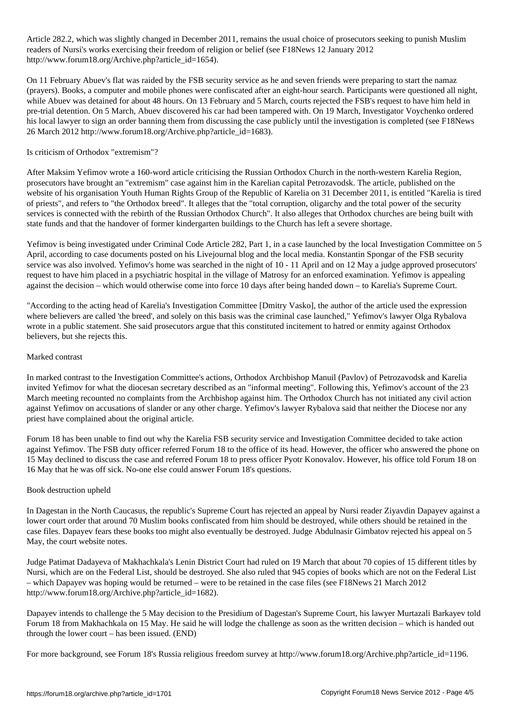Article 282.2, which was slightly changed in December 2011, remains the usual choice of prosecutors seeking to punish Muslim Muslim Muslim Muslim Muslim Muslim Muslim Muslim Muslim Muslim Muslim Muslim Muslim Muslim Musli readers of Nursi's works exercising their freedom of religion or belief (see F18News 12 January 2012 http://www.forum18.org/Archive.php?article\_id=1654).

On 11 February Abuev's flat was raided by the FSB security service as he and seven friends were preparing to start the namaz (prayers). Books, a computer and mobile phones were confiscated after an eight-hour search. Participants were questioned all night, while Abuev was detained for about 48 hours. On 13 February and 5 March, courts rejected the FSB's request to have him held in pre-trial detention. On 5 March, Abuev discovered his car had been tampered with. On 19 March, Investigator Voychenko ordered his local lawyer to sign an order banning them from discussing the case publicly until the investigation is completed (see F18News 26 March 2012 http://www.forum18.org/Archive.php?article\_id=1683).

# Is criticism of Orthodox "extremism"?

After Maksim Yefimov wrote a 160-word article criticising the Russian Orthodox Church in the north-western Karelia Region, prosecutors have brought an "extremism" case against him in the Karelian capital Petrozavodsk. The article, published on the website of his organisation Youth Human Rights Group of the Republic of Karelia on 31 December 2011, is entitled "Karelia is tired of priests", and refers to "the Orthodox breed". It alleges that the "total corruption, oligarchy and the total power of the security services is connected with the rebirth of the Russian Orthodox Church". It also alleges that Orthodox churches are being built with state funds and that the handover of former kindergarten buildings to the Church has left a severe shortage.

Yefimov is being investigated under Criminal Code Article 282, Part 1, in a case launched by the local Investigation Committee on 5 April, according to case documents posted on his Livejournal blog and the local media. Konstantin Spongar of the FSB security service was also involved. Yefimov's home was searched in the night of 10 - 11 April and on 12 May a judge approved prosecutors' request to have him placed in a psychiatric hospital in the village of Matrosy for an enforced examination. Yefimov is appealing against the decision – which would otherwise come into force 10 days after being handed down – to Karelia's Supreme Court.

"According to the acting head of Karelia's Investigation Committee [Dmitry Vasko], the author of the article used the expression where believers are called 'the breed', and solely on this basis was the criminal case launched," Yefimov's lawyer Olga Rybalova wrote in a public statement. She said prosecutors argue that this constituted incitement to hatred or enmity against Orthodox believers, but she rejects this.

# Marked contrast

In marked contrast to the Investigation Committee's actions, Orthodox Archbishop Manuil (Pavlov) of Petrozavodsk and Karelia invited Yefimov for what the diocesan secretary described as an "informal meeting". Following this, Yefimov's account of the 23 March meeting recounted no complaints from the Archbishop against him. The Orthodox Church has not initiated any civil action against Yefimov on accusations of slander or any other charge. Yefimov's lawyer Rybalova said that neither the Diocese nor any priest have complained about the original article.

Forum 18 has been unable to find out why the Karelia FSB security service and Investigation Committee decided to take action against Yefimov. The FSB duty officer referred Forum 18 to the office of its head. However, the officer who answered the phone on 15 May declined to discuss the case and referred Forum 18 to press officer Pyotr Konovalov. However, his office told Forum 18 on 16 May that he was off sick. No-one else could answer Forum 18's questions.

# Book destruction upheld

In Dagestan in the North Caucasus, the republic's Supreme Court has rejected an appeal by Nursi reader Ziyavdin Dapayev against a lower court order that around 70 Muslim books confiscated from him should be destroyed, while others should be retained in the case files. Dapayev fears these books too might also eventually be destroyed. Judge Abdulnasir Gimbatov rejected his appeal on 5 May, the court website notes.

Judge Patimat Dadayeva of Makhachkala's Lenin District Court had ruled on 19 March that about 70 copies of 15 different titles by Nursi, which are on the Federal List, should be destroyed. She also ruled that 945 copies of books which are not on the Federal List – which Dapayev was hoping would be returned – were to be retained in the case files (see F18News 21 March 2012 http://www.forum18.org/Archive.php?article\_id=1682).

Dapayev intends to challenge the 5 May decision to the Presidium of Dagestan's Supreme Court, his lawyer Murtazali Barkayev told Forum 18 from Makhachkala on 15 May. He said he will lodge the challenge as soon as the written decision – which is handed out through the lower court – has been issued. (END)

For more background, see Forum 18's Russia religious freedom survey at http://www.forum18.org/Archive.php?article\_id=1196.